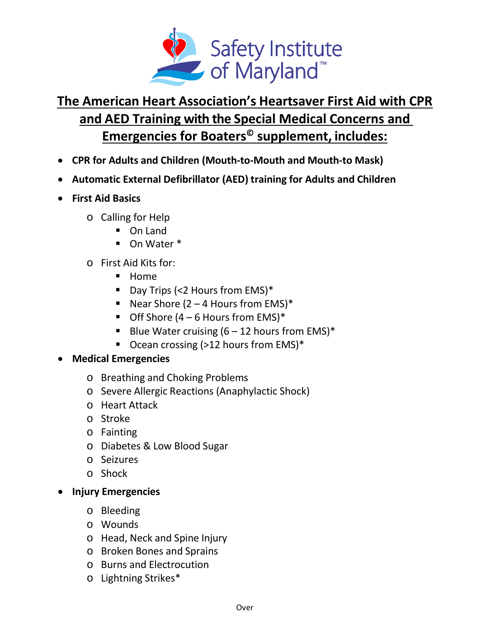

## **The American Heart Association's Heartsaver First Aid with CPR and AED Training with the Special Medical Concerns and Emergencies for Boaters© supplement, includes:**

- **CPR for Adults and Children (Mouth-to-Mouth and Mouth-to Mask)**
- **Automatic External Defibrillator (AED) training for Adults and Children**
- **First Aid Basics**
	- o Calling for Help
		- On Land
		- On Water \*
	- o First Aid Kits for:
		- **Home**
		- $\blacksquare$  Day Trips (<2 Hours from EMS)\*
		- Near Shore  $(2 4$  Hours from EMS)\*
		- $\blacksquare$  Off Shore (4 6 Hours from EMS)\*
		- Blue Water cruising  $(6 12$  hours from EMS)\*
		- Ocean crossing (>12 hours from EMS)<sup>\*</sup>

## • **Medical Emergencies**

- o Breathing and Choking Problems
- o Severe Allergic Reactions (Anaphylactic Shock)
- o Heart Attack
- o Stroke
- o Fainting
- o Diabetes & Low Blood Sugar
- o Seizures
- o Shock
- **Injury Emergencies**
	- o Bleeding
	- o Wounds
	- o Head, Neck and Spine Injury
	- o Broken Bones and Sprains
	- o Burns and Electrocution
	- o Lightning Strikes\*